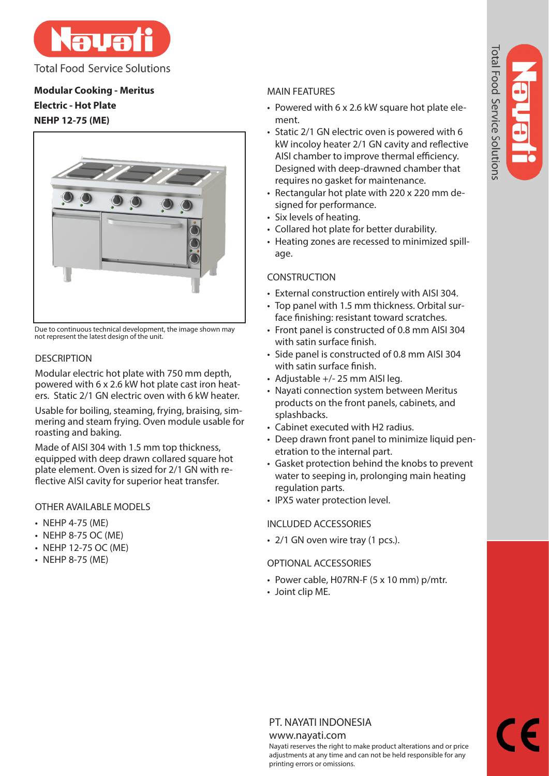

**Total Food Service Solutions** 

# **Modular Cooking - Meritus Electric - Hot Plate NEHP 12-75 (ME)**



Due to continuous technical development, the image shown may not represent the latest design of the unit.

# **DESCRIPTION**

Modular electric hot plate with 750 mm depth, powered with 6 x 2.6 kW hot plate cast iron heaters. Static 2/1 GN electric oven with 6 kW heater.

Usable for boiling, steaming, frying, braising, simmering and steam frying. Oven module usable for roasting and baking.

Made of AISI 304 with 1.5 mm top thickness, equipped with deep drawn collared square hot plate element. Oven is sized for 2/1 GN with reflective AISI cavity for superior heat transfer.

# OTHER AVAILABLE MODELS

- NEHP 4-75 (ME)
- NEHP 8-75 OC (ME)
- NEHP 12-75 OC (ME)
- NEHP 8-75 (ME)

# MAIN FEATURES

- Powered with 6 x 2.6 kW square hot plate element.
- Static 2/1 GN electric oven is powered with 6 kW incoloy heater 2/1 GN cavity and reflective AISI chamber to improve thermal efficiency. Designed with deep-drawned chamber that requires no gasket for maintenance.
- Rectangular hot plate with 220 x 220 mm designed for performance.
- Six levels of heating.
- Collared hot plate for better durability.
- Heating zones are recessed to minimized spillage.

# **CONSTRUCTION**

- External construction entirely with AISI 304.
- Top panel with 1.5 mm thickness. Orbital surface finishing: resistant toward scratches.
- Front panel is constructed of 0.8 mm AISI 304 with satin surface finish.
- Side panel is constructed of 0.8 mm AISI 304 with satin surface finish.
- Adjustable +/- 25 mm AISI leg.
- Nayati connection system between Meritus products on the front panels, cabinets, and splashbacks.
- Cabinet executed with H2 radius.
- Deep drawn front panel to minimize liquid penetration to the internal part.
- Gasket protection behind the knobs to prevent water to seeping in, prolonging main heating regulation parts.
- IPX5 water protection level.

# INCLUDED ACCESSORIES

• 2/1 GN oven wire tray (1 pcs.).

# OPTIONAL ACCESSORIES

- Power cable, H07RN-F (5 x 10 mm) p/mtr.
- Joint clip ME.

# PT. NAYATI INDONESIA

### www.nayati.com

Nayati reserves the right to make product alterations and or price adjustments at any time and can not be held responsible for any printing errors or omissions.